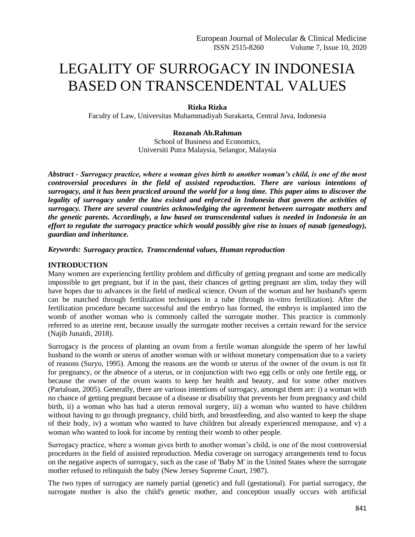# LEGALITY OF SURROGACY IN INDONESIA BASED ON TRANSCENDENTAL VALUES

## **Rizka Rizka**

Faculty of Law, Universitas Muhammadiyah Surakarta, Central Java, Indonesia

## **Rozanah Ab.Rahman**

School of Business and Economics, Universiti Putra Malaysia, Selangor, Malaysia

*Abstract - Surrogacy practice, where a woman gives birth to another woman's child, is one of the most controversial procedures in the field of assisted reproduction. There are various intentions of surrogacy, and it has been practiced around the world for a long time. This paper aims to discover the legality of surrogacy under the law existed and enforced in Indonesia that govern the activities of surrogacy. There are several countries acknowledging the agreement between surrogate mothers and the genetic parents. Accordingly, a law based on transcendental values is needed in Indonesia in an effort to regulate the surrogacy practice which would possibly give rise to issues of nasab (genealogy), guardian and inheritance.*

## *Keywords: Surrogacy practice, Transcendental values, Human reproduction*

## **INTRODUCTION**

Many women are experiencing fertility problem and difficulty of getting pregnant and some are medically impossible to get pregnant, but if in the past, their chances of getting pregnant are slim, today they will have hopes due to advances in the field of medical science. Ovum of the woman and her husband's sperm can be matched through fertilization techniques in a tube (through in-vitro fertilization). After the fertilization procedure became successful and the embryo has formed, the embryo is implanted into the womb of another woman who is commonly called the surrogate mother. This practice is commonly referred to as uterine rent, because usually the surrogate mother receives a certain reward for the service (Najib Junaidi, 2018).

Surrogacy is the process of planting an ovum from a fertile woman alongside the sperm of her lawful husband to the womb or uterus of another woman with or without monetary compensation due to a variety of reasons (Suryo, 1995). Among the reasons are the womb or uterus of the owner of the ovum is not fit for pregnancy, or the absence of a uterus, or in conjunction with two egg cells or only one fertile egg, or because the owner of the ovum wants to keep her health and beauty, and for some other motives (Partaloan, 2005). Generally, there are various intentions of surrogacy, amongst them are: i) a woman with no chance of getting pregnant because of a disease or disability that prevents her from pregnancy and child birth, ii) a woman who has had a uterus removal surgery, iii) a woman who wanted to have children without having to go through pregnancy, child birth, and breastfeeding, and also wanted to keep the shape of their body, iv) a woman who wanted to have children but already experienced menopause, and v) a woman who wanted to look for income by renting their womb to other people.

Surrogacy practice, where a woman gives birth to another woman's child, is one of the most controversial procedures in the field of assisted reproduction. Media coverage on surrogacy arrangements tend to focus on the negative aspects of surrogacy, such as the case of 'Baby M' in the United States where the surrogate mother refused to relinquish the baby (New Jersey Supreme Court, 1987).

The two types of surrogacy are namely partial (genetic) and full (gestational). For partial surrogacy, the surrogate mother is also the child's genetic mother, and conception usually occurs with artificial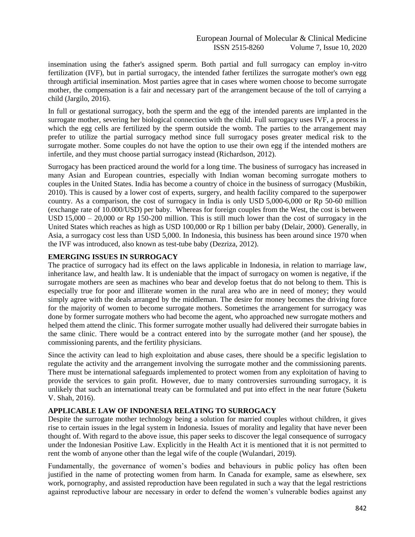insemination using the father's assigned sperm. Both partial and full surrogacy can employ in-vitro fertilization (IVF), but in partial surrogacy, the intended father fertilizes the surrogate mother's own egg through artificial insemination. Most parties agree that in cases where women choose to become surrogate mother, the compensation is a fair and necessary part of the arrangement because of the toll of carrying a child (Jargilo, 2016).

In full or gestational surrogacy, both the sperm and the egg of the intended parents are implanted in the surrogate mother, severing her biological connection with the child. Full surrogacy uses IVF, a process in which the egg cells are fertilized by the sperm outside the womb. The parties to the arrangement may prefer to utilize the partial surrogacy method since full surrogacy poses greater medical risk to the surrogate mother. Some couples do not have the option to use their own egg if the intended mothers are infertile, and they must choose partial surrogacy instead (Richardson, 2012).

Surrogacy has been practiced around the world for a long time. The business of surrogacy has increased in many Asian and European countries, especially with Indian woman becoming surrogate mothers to couples in the United States. India has become a country of choice in the business of surrogacy (Musbikin, 2010). This is caused by a lower cost of experts, surgery, and health facility compared to the superpower country. As a comparison, the cost of surrogacy in India is only USD 5,000-6,000 or Rp 50-60 million (exchange rate of 10.000/USD) per baby. Whereas for foreign couples from the West, the cost is between USD 15,000 – 20,000 or Rp 150-200 million. This is still much lower than the cost of surrogacy in the United States which reaches as high as USD 100,000 or Rp 1 billion per baby (Delair, 2000). Generally, in Asia, a surrogacy cost less than USD 5,000. In Indonesia, this business has been around since 1970 when the IVF was introduced, also known as test-tube baby (Dezriza, 2012).

# **EMERGING ISSUES IN SURROGACY**

The practice of surrogacy had its effect on the laws applicable in Indonesia, in relation to marriage law, inheritance law, and health law. It is undeniable that the impact of surrogacy on women is negative, if the surrogate mothers are seen as machines who bear and develop foetus that do not belong to them. This is especially true for poor and illiterate women in the rural area who are in need of money; they would simply agree with the deals arranged by the middleman. The desire for money becomes the driving force for the majority of women to become surrogate mothers. Sometimes the arrangement for surrogacy was done by former surrogate mothers who had become the agent, who approached new surrogate mothers and helped them attend the clinic. This former surrogate mother usually had delivered their surrogate babies in the same clinic. There would be a contract entered into by the surrogate mother (and her spouse), the commissioning parents, and the fertility physicians.

Since the activity can lead to high exploitation and abuse cases, there should be a specific legislation to regulate the activity and the arrangement involving the surrogate mother and the commissioning parents. There must be international safeguards implemented to protect women from any exploitation of having to provide the services to gain profit. However, due to many controversies surrounding surrogacy, it is unlikely that such an international treaty can be formulated and put into effect in the near future (Suketu V. Shah, 2016).

# **APPLICABLE LAW OF INDONESIA RELATING TO SURROGACY**

Despite the surrogate mother technology being a solution for married couples without children, it gives rise to certain issues in the legal system in Indonesia. Issues of morality and legality that have never been thought of. With regard to the above issue, this paper seeks to discover the legal consequence of surrogacy under the Indonesian Positive Law. Explicitly in the Health Act it is mentioned that it is not permitted to rent the womb of anyone other than the legal wife of the couple (Wulandari, 2019).

Fundamentally, the governance of women's bodies and behaviours in public policy has often been justified in the name of protecting women from harm. In Canada for example, same as elsewhere, sex work, pornography, and assisted reproduction have been regulated in such a way that the legal restrictions against reproductive labour are necessary in order to defend the women's vulnerable bodies against any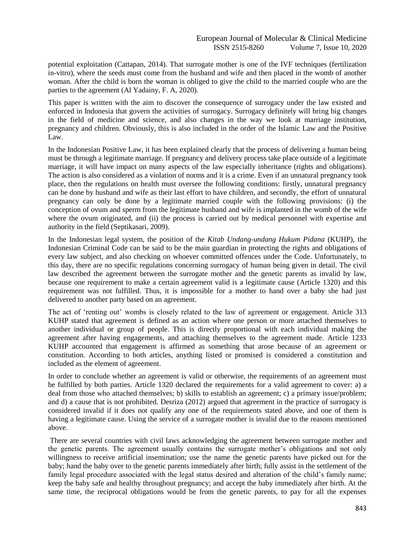potential exploitation (Cattapan, 2014). That surrogate mother is one of the IVF techniques (fertilization in-vitro), where the seeds must come from the husband and wife and then placed in the womb of another woman. After the child is born the woman is obliged to give the child to the married couple who are the parties to the agreement (Al Yadainy, F. A, 2020).

This paper is written with the aim to discover the consequence of surrogacy under the law existed and enforced in Indonesia that govern the activities of surrogacy. Surrogacy definitely will bring big changes in the field of medicine and science, and also changes in the way we look at marriage institution, pregnancy and children. Obviously, this is also included in the order of the Islamic Law and the Positive Law.

In the Indonesian Positive Law, it has been explained clearly that the process of delivering a human being must be through a legitimate marriage. If pregnancy and delivery process take place outside of a legitimate marriage, it will have impact on many aspects of the law especially inheritance (rights and obligations). The action is also considered as a violation of norms and it is a crime. Even if an unnatural pregnancy took place, then the regulations on health must oversee the following conditions: firstly, unnatural pregnancy can be done by husband and wife as their last effort to have children, and secondly, the effort of unnatural pregnancy can only be done by a legitimate married couple with the following provisions: (i) the conception of ovum and sperm from the legitimate husband and wife is implanted in the womb of the wife where the ovum originated, and (ii) the process is carried out by medical personnel with expertise and authority in the field (Septikasari, 2009).

In the Indonesian legal system, the position of the *Kitab Undang-undang Hukum Pidana* (KUHP), the Indonesian Criminal Code can be said to be the main guardian in protecting the rights and obligations of every law subject, and also checking on whoever committed offences under the Code. Unfortunately, to this day, there are no specific regulations concerning surrogacy of human being given in detail. The civil law described the agreement between the surrogate mother and the genetic parents as invalid by law, because one requirement to make a certain agreement valid is a legitimate cause (Article 1320) and this requirement was not fulfilled. Thus, it is impossible for a mother to hand over a baby she had just delivered to another party based on an agreement.

The act of 'renting out' wombs is closely related to the law of agreement or engagement. Article 313 KUHP stated that agreement is defined as an action where one person or more attached themselves to another individual or group of people. This is directly proportional with each individual making the agreement after having engagements, and attaching themselves to the agreement made. Article 1233 KUHP accounted that engagement is affirmed as something that arose because of an agreement or constitution. According to both articles, anything listed or promised is considered a constitution and included as the element of agreement.

In order to conclude whether an agreement is valid or otherwise, the requirements of an agreement must be fulfilled by both parties. Article 1320 declared the requirements for a valid agreement to cover: a) a deal from those who attached themselves; b) skills to establish an agreement; c) a primary issue/problem; and d) a cause that is not prohibited. Desriza (2012) argued that agreement in the practice of surrogacy is considered invalid if it does not qualify any one of the requirements stated above, and one of them is having a legitimate cause. Using the service of a surrogate mother is invalid due to the reasons mentioned above.

There are several countries with civil laws acknowledging the agreement between surrogate mother and the genetic parents. The agreement usually contains the surrogate mother's obligations and not only willingness to receive artificial insemination; use the name the genetic parents have picked out for the baby; hand the baby over to the genetic parents immediately after birth; fully assist in the settlement of the family legal procedure associated with the legal status desired and alteration of the child's family name; keep the baby safe and healthy throughout pregnancy; and accept the baby immediately after birth. At the same time, the reciprocal obligations would be from the genetic parents, to pay for all the expenses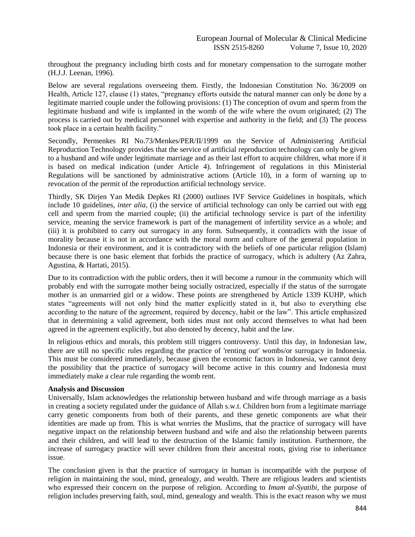throughout the pregnancy including birth costs and for monetary compensation to the surrogate mother (H.J.J. Leenan, 1996).

Below are several regulations overseeing them. Firstly, the Indonesian Constitution No. 36/2009 on Health, Article 127, clause (1) states, "pregnancy efforts outside the natural manner can only be done by a legitimate married couple under the following provisions: (1) The conception of ovum and sperm from the legitimate husband and wife is implanted in the womb of the wife where the ovum originated; (2) The process is carried out by medical personnel with expertise and authority in the field; and (3) The process took place in a certain health facility."

Secondly, Permenkes RI No.73/Menkes/PER/II/1999 on the Service of Administering Artificial Reproduction Technology provides that the service of artificial reproduction technology can only be given to a husband and wife under legitimate marriage and as their last effort to acquire children, what more if it is based on medical indication (under Article 4). Infringement of regulations in this Ministerial Regulations will be sanctioned by administrative actions (Article 10), in a form of warning up to revocation of the permit of the reproduction artificial technology service.

Thirdly, SK Dirjen Yan Medik Depkes RI (2000) outlines IVF Service Guidelines in hospitals, which include 10 guidelines, *inter alia*, (i) the service of artificial technology can only be carried out with egg cell and sperm from the married couple; (ii) the artificial technology service is part of the infertility service, meaning the service framework is part of the management of infertility service as a whole; and (iii) it is prohibited to carry out surrogacy in any form. Subsequently, it contradicts with the issue of morality because it is not in accordance with the moral norm and culture of the general population in Indonesia or their environment, and it is contradictory with the beliefs of one particular religion (Islam) because there is one basic element that forbids the practice of surrogacy, which is adultery (Az Zahra, Agustina, & Hartati, 2015).

Due to its contradiction with the public orders, then it will become a rumour in the community which will probably end with the surrogate mother being socially ostracized, especially if the status of the surrogate mother is an unmarried girl or a widow. These points are strengthened by Article 1339 KUHP, which states "agreements will not only bind the matter explicitly stated in it, but also to everything else according to the nature of the agreement, required by decency, habit or the law". This article emphasized that in determining a valid agreement, both sides must not only accord themselves to what had been agreed in the agreement explicitly, but also denoted by decency, habit and the law.

In religious ethics and morals, this problem still triggers controversy. Until this day, in Indonesian law, there are still no specific rules regarding the practice of 'renting out' wombs/or surrogacy in Indonesia. This must be considered immediately, because given the economic factors in Indonesia, we cannot deny the possibility that the practice of surrogacy will become active in this country and Indonesia must immediately make a clear rule regarding the womb rent.

#### **Analysis and Discussion**

Universally, Islam acknowledges the relationship between husband and wife through marriage as a basis in creating a society regulated under the guidance of Allah s.w.t. Children born from a legitimate marriage carry genetic components from both of their parents, and these genetic components are what their identities are made up from. This is what worries the Muslims, that the practice of surrogacy will have negative impact on the relationship between husband and wife and also the relationship between parents and their children, and will lead to the destruction of the Islamic family institution. Furthermore, the increase of surrogacy practice will sever children from their ancestral roots, giving rise to inheritance issue.

The conclusion given is that the practice of surrogacy in human is incompatible with the purpose of religion in maintaining the soul, mind, genealogy, and wealth. There are religious leaders and scientists who expressed their concern on the purpose of religion. According to *Imam al-Syatibi*, the purpose of religion includes preserving faith, soul, mind, genealogy and wealth. This is the exact reason why we must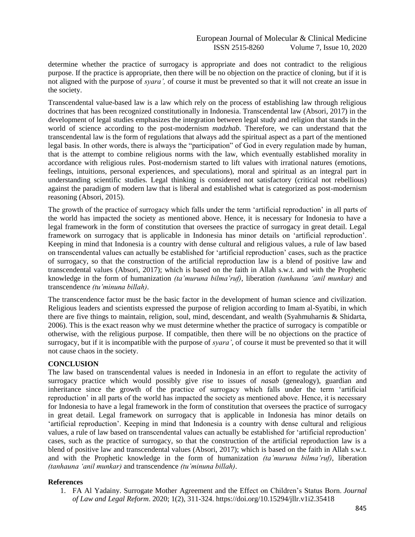determine whether the practice of surrogacy is appropriate and does not contradict to the religious purpose. If the practice is appropriate, then there will be no objection on the practice of cloning, but if it is not aligned with the purpose of *syara',* of course it must be prevented so that it will not create an issue in the society.

Transcendental value-based law is a law which rely on the process of establishing law through religious doctrines that has been recognized constitutionally in Indonesia. Transcendental law (Absori, 2017) in the development of legal studies emphasizes the integration between legal study and religion that stands in the world of science according to the post-modernism *madzhab*. Therefore, we can understand that the transcendental law is the form of regulations that always add the spiritual aspect as a part of the mentioned legal basis. In other words, there is always the "participation" of God in every regulation made by human, that is the attempt to combine religious norms with the law, which eventually established morality in accordance with religious rules. Post-modernism started to lift values with irrational natures (emotions, feelings, intuitions, personal experiences, and speculations), moral and spiritual as an integral part in understanding scientific studies. Legal thinking is considered not satisfactory (critical not rebellious) against the paradigm of modern law that is liberal and established what is categorized as post-modernism reasoning (Absori, 2015).

The growth of the practice of surrogacy which falls under the term 'artificial reproduction' in all parts of the world has impacted the society as mentioned above. Hence, it is necessary for Indonesia to have a legal framework in the form of constitution that oversees the practice of surrogacy in great detail. Legal framework on surrogacy that is applicable in Indonesia has minor details on 'artificial reproduction'. Keeping in mind that Indonesia is a country with dense cultural and religious values, a rule of law based on transcendental values can actually be established for 'artificial reproduction' cases, such as the practice of surrogacy, so that the construction of the artificial reproduction law is a blend of positive law and transcendental values (Absori, 2017); which is based on the faith in Allah s.w.t. and with the Prophetic knowledge in the form of humanization *(ta'muruna bilma'ruf)*, liberation *(tanhauna 'anil munkar)* and transcendence *(tu'minuna billah)*.

The transcendence factor must be the basic factor in the development of human science and civilization. Religious leaders and scientists expressed the purpose of religion according to Imam al-Syatibi, in which there are five things to maintain, religion, soul, mind, descendant, and wealth (Syahmuharnis & Shidarta, 2006). This is the exact reason why we must determine whether the practice of surrogacy is compatible or otherwise, with the religious purpose. If compatible, then there will be no objections on the practice of surrogacy, but if it is incompatible with the purpose of *syara'*, of course it must be prevented so that it will not cause chaos in the society.

# **CONCLUSION**

The law based on transcendental values is needed in Indonesia in an effort to regulate the activity of surrogacy practice which would possibly give rise to issues of *nasab* (genealogy), guardian and inheritance since the growth of the practice of surrogacy which falls under the term 'artificial reproduction' in all parts of the world has impacted the society as mentioned above. Hence, it is necessary for Indonesia to have a legal framework in the form of constitution that oversees the practice of surrogacy in great detail. Legal framework on surrogacy that is applicable in Indonesia has minor details on 'artificial reproduction'. Keeping in mind that Indonesia is a country with dense cultural and religious values, a rule of law based on transcendental values can actually be established for 'artificial reproduction' cases, such as the practice of surrogacy, so that the construction of the artificial reproduction law is a blend of positive law and transcendental values (Absori, 2017); which is based on the faith in Allah s.w.t. and with the Prophetic knowledge in the form of humanization *(ta'muruna bilma'ruf)*, liberation *(tanhauna 'anil munkar)* and transcendence *(tu'minuna billah)*.

# **References**

1. FA Al Yadainy. Surrogate Mother Agreement and the Effect on Children's Status Born. *Journal of Law and Legal Reform*. 2020; 1(2), 311-324. https://doi.org/10.15294/jllr.v1i2.35418